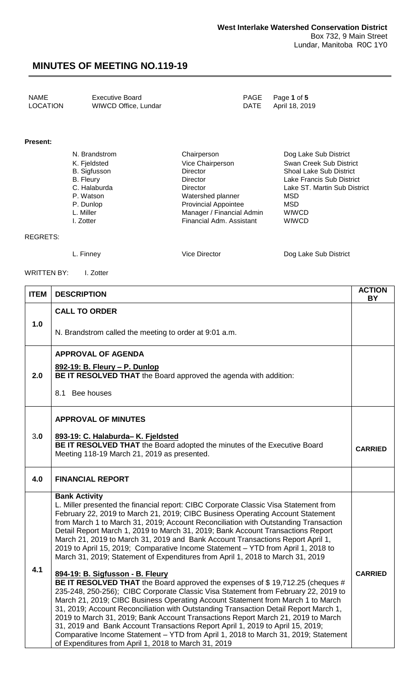| NAME     | <b>Executive Board</b> | PAGE Page 1 of 5    |
|----------|------------------------|---------------------|
| LOCATION | WIWCD Office, Lundar   | DATE April 18, 2019 |
|          |                        |                     |

#### **Present:**

| N. Brandstrom | Chairperson                 | Dog Lake Sub District          |
|---------------|-----------------------------|--------------------------------|
| K. Fjeldsted  | Vice Chairperson            | Swan Creek Sub District        |
| B. Sigfusson  | <b>Director</b>             | <b>Shoal Lake Sub District</b> |
| B. Fleury     | <b>Director</b>             | Lake Francis Sub District      |
| C. Halaburda  | <b>Director</b>             | Lake ST. Martin Sub District   |
| P. Watson     | Watershed planner           | MSD                            |
| P. Dunlop     | <b>Provincial Appointee</b> | MSD                            |
| L. Miller     | Manager / Financial Admin   | <b>WIWCD</b>                   |
| I. Zotter     | Financial Adm. Assistant    | <b>WIWCD</b>                   |

#### REGRETS:

L. Finney **Communist Communist Communist Communist Communist Communist Communist Communist Communist Communist Communist Communist Communist Communist Communist Communist Communist Communist Communist Communist Communist C** 

WRITTEN BY: I. Zotter

| <b>ITEM</b> | <b>DESCRIPTION</b>                                                                                                                                                                                                                                                                                                                                                                                                                                                                                                                                                                                                                                                                                     | <b>ACTION</b><br><b>BY</b> |
|-------------|--------------------------------------------------------------------------------------------------------------------------------------------------------------------------------------------------------------------------------------------------------------------------------------------------------------------------------------------------------------------------------------------------------------------------------------------------------------------------------------------------------------------------------------------------------------------------------------------------------------------------------------------------------------------------------------------------------|----------------------------|
|             | <b>CALL TO ORDER</b>                                                                                                                                                                                                                                                                                                                                                                                                                                                                                                                                                                                                                                                                                   |                            |
| 1.0         | N. Brandstrom called the meeting to order at 9:01 a.m.                                                                                                                                                                                                                                                                                                                                                                                                                                                                                                                                                                                                                                                 |                            |
|             | <b>APPROVAL OF AGENDA</b>                                                                                                                                                                                                                                                                                                                                                                                                                                                                                                                                                                                                                                                                              |                            |
| 2.0         | 892-19: B. Fleury - P. Dunlop<br>BE IT RESOLVED THAT the Board approved the agenda with addition:                                                                                                                                                                                                                                                                                                                                                                                                                                                                                                                                                                                                      |                            |
|             | 8.1 Bee houses                                                                                                                                                                                                                                                                                                                                                                                                                                                                                                                                                                                                                                                                                         |                            |
|             | <b>APPROVAL OF MINUTES</b>                                                                                                                                                                                                                                                                                                                                                                                                                                                                                                                                                                                                                                                                             |                            |
| 3.0         | 893-19: C. Halaburda- K. Fjeldsted<br>BE IT RESOLVED THAT the Board adopted the minutes of the Executive Board<br>Meeting 118-19 March 21, 2019 as presented.                                                                                                                                                                                                                                                                                                                                                                                                                                                                                                                                          | <b>CARRIED</b>             |
| 4.0         | <b>FINANCIAL REPORT</b>                                                                                                                                                                                                                                                                                                                                                                                                                                                                                                                                                                                                                                                                                |                            |
|             | <b>Bank Activity</b><br>L. Miller presented the financial report: CIBC Corporate Classic Visa Statement from<br>February 22, 2019 to March 21, 2019; CIBC Business Operating Account Statement<br>from March 1 to March 31, 2019; Account Reconciliation with Outstanding Transaction<br>Detail Report March 1, 2019 to March 31, 2019; Bank Account Transactions Report<br>March 21, 2019 to March 31, 2019 and Bank Account Transactions Report April 1,<br>2019 to April 15, 2019; Comparative Income Statement - YTD from April 1, 2018 to<br>March 31, 2019; Statement of Expenditures from April 1, 2018 to March 31, 2019                                                                       |                            |
| 4.1         | 894-19: B. Sigfusson - B. Fleury<br>BE IT RESOLVED THAT the Board approved the expenses of \$19,712.25 (cheques #<br>235-248, 250-256); CIBC Corporate Classic Visa Statement from February 22, 2019 to<br>March 21, 2019; CIBC Business Operating Account Statement from March 1 to March<br>31, 2019; Account Reconciliation with Outstanding Transaction Detail Report March 1,<br>2019 to March 31, 2019; Bank Account Transactions Report March 21, 2019 to March<br>31, 2019 and Bank Account Transactions Report April 1, 2019 to April 15, 2019;<br>Comparative Income Statement - YTD from April 1, 2018 to March 31, 2019; Statement<br>of Expenditures from April 1, 2018 to March 31, 2019 | <b>CARRIED</b>             |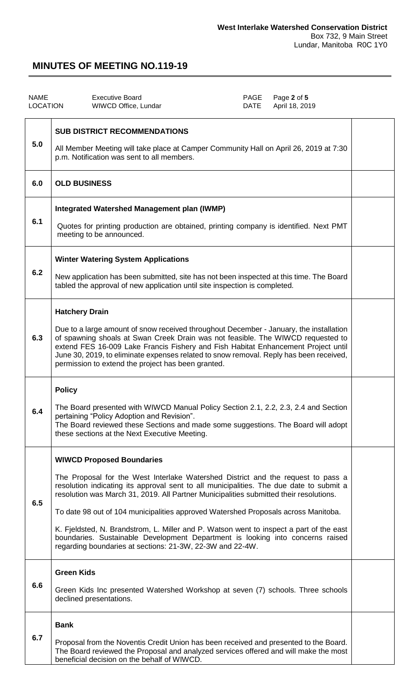| <b>NAME</b><br><b>LOCATION</b> | <b>Executive Board</b><br>WIWCD Office, Lundar                                                                                                                                                                                                                                                                                                                                                                                                                                                                                                                                                                                            | PAGE<br>DATE | Page 2 of 5<br>April 18, 2019 |  |
|--------------------------------|-------------------------------------------------------------------------------------------------------------------------------------------------------------------------------------------------------------------------------------------------------------------------------------------------------------------------------------------------------------------------------------------------------------------------------------------------------------------------------------------------------------------------------------------------------------------------------------------------------------------------------------------|--------------|-------------------------------|--|
| 5.0                            | <b>SUB DISTRICT RECOMMENDATIONS</b><br>All Member Meeting will take place at Camper Community Hall on April 26, 2019 at 7:30<br>p.m. Notification was sent to all members.                                                                                                                                                                                                                                                                                                                                                                                                                                                                |              |                               |  |
| 6.0                            | <b>OLD BUSINESS</b>                                                                                                                                                                                                                                                                                                                                                                                                                                                                                                                                                                                                                       |              |                               |  |
| 6.1                            | Integrated Watershed Management plan (IWMP)<br>Quotes for printing production are obtained, printing company is identified. Next PMT<br>meeting to be announced.                                                                                                                                                                                                                                                                                                                                                                                                                                                                          |              |                               |  |
| 6.2                            | <b>Winter Watering System Applications</b><br>New application has been submitted, site has not been inspected at this time. The Board<br>tabled the approval of new application until site inspection is completed.                                                                                                                                                                                                                                                                                                                                                                                                                       |              |                               |  |
| 6.3                            | <b>Hatchery Drain</b><br>Due to a large amount of snow received throughout December - January, the installation<br>of spawning shoals at Swan Creek Drain was not feasible. The WIWCD requested to<br>extend FES 16-009 Lake Francis Fishery and Fish Habitat Enhancement Project until<br>June 30, 2019, to eliminate expenses related to snow removal. Reply has been received,<br>permission to extend the project has been granted.                                                                                                                                                                                                   |              |                               |  |
| 6.4                            | <b>Policy</b><br>The Board presented with WIWCD Manual Policy Section 2.1, 2.2, 2.3, 2.4 and Section<br>pertaining "Policy Adoption and Revision".<br>The Board reviewed these Sections and made some suggestions. The Board will adopt<br>these sections at the Next Executive Meeting.                                                                                                                                                                                                                                                                                                                                                  |              |                               |  |
| 6.5                            | <b>WIWCD Proposed Boundaries</b><br>The Proposal for the West Interlake Watershed District and the request to pass a<br>resolution indicating its approval sent to all municipalities. The due date to submit a<br>resolution was March 31, 2019. All Partner Municipalities submitted their resolutions.<br>To date 98 out of 104 municipalities approved Watershed Proposals across Manitoba.<br>K. Fjeldsted, N. Brandstrom, L. Miller and P. Watson went to inspect a part of the east<br>boundaries. Sustainable Development Department is looking into concerns raised<br>regarding boundaries at sections: 21-3W, 22-3W and 22-4W. |              |                               |  |
| 6.6                            | <b>Green Kids</b><br>Green Kids Inc presented Watershed Workshop at seven (7) schools. Three schools<br>declined presentations.                                                                                                                                                                                                                                                                                                                                                                                                                                                                                                           |              |                               |  |
| 6.7                            | <b>Bank</b><br>Proposal from the Noventis Credit Union has been received and presented to the Board.<br>The Board reviewed the Proposal and analyzed services offered and will make the most<br>beneficial decision on the behalf of WIWCD.                                                                                                                                                                                                                                                                                                                                                                                               |              |                               |  |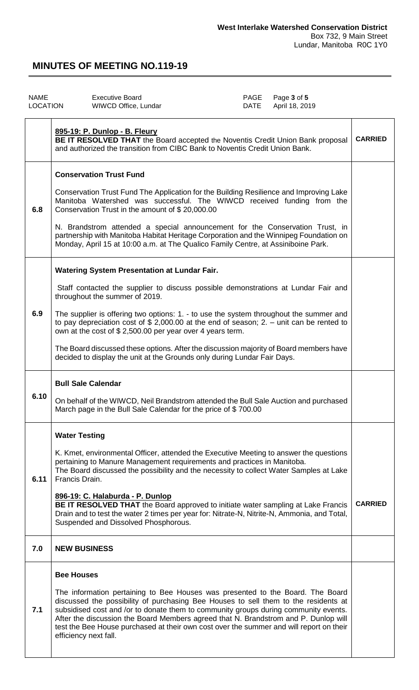| <b>NAME</b><br><b>LOCATION</b> | <b>Executive Board</b><br>WIWCD Office, Lundar                                                                                                                                                                                                                                                                                                                                                                                                                          | PAGE<br>DATE | Page 3 of 5<br>April 18, 2019 |                |
|--------------------------------|-------------------------------------------------------------------------------------------------------------------------------------------------------------------------------------------------------------------------------------------------------------------------------------------------------------------------------------------------------------------------------------------------------------------------------------------------------------------------|--------------|-------------------------------|----------------|
|                                | 895-19: P. Dunlop - B. Fleury<br>BE IT RESOLVED THAT the Board accepted the Noventis Credit Union Bank proposal<br>and authorized the transition from CIBC Bank to Noventis Credit Union Bank.                                                                                                                                                                                                                                                                          |              |                               | <b>CARRIED</b> |
|                                | <b>Conservation Trust Fund</b>                                                                                                                                                                                                                                                                                                                                                                                                                                          |              |                               |                |
| 6.8                            | Conservation Trust Fund The Application for the Building Resilience and Improving Lake<br>Manitoba Watershed was successful. The WIWCD received funding from the<br>Conservation Trust in the amount of \$20,000.00                                                                                                                                                                                                                                                     |              |                               |                |
|                                | N. Brandstrom attended a special announcement for the Conservation Trust, in<br>partnership with Manitoba Habitat Heritage Corporation and the Winnipeg Foundation on<br>Monday, April 15 at 10:00 a.m. at The Qualico Family Centre, at Assiniboine Park.                                                                                                                                                                                                              |              |                               |                |
|                                | <b>Watering System Presentation at Lundar Fair.</b>                                                                                                                                                                                                                                                                                                                                                                                                                     |              |                               |                |
|                                | Staff contacted the supplier to discuss possible demonstrations at Lundar Fair and<br>throughout the summer of 2019.                                                                                                                                                                                                                                                                                                                                                    |              |                               |                |
| 6.9                            | The supplier is offering two options: 1. - to use the system throughout the summer and<br>to pay depreciation cost of \$ 2,000.00 at the end of season; 2. $-$ unit can be rented to<br>own at the cost of \$2,500.00 per year over 4 years term.                                                                                                                                                                                                                       |              |                               |                |
|                                | The Board discussed these options. After the discussion majority of Board members have<br>decided to display the unit at the Grounds only during Lundar Fair Days.                                                                                                                                                                                                                                                                                                      |              |                               |                |
|                                | <b>Bull Sale Calendar</b>                                                                                                                                                                                                                                                                                                                                                                                                                                               |              |                               |                |
| 6.10                           | On behalf of the WIWCD, Neil Brandstrom attended the Bull Sale Auction and purchased<br>March page in the Bull Sale Calendar for the price of \$700.00                                                                                                                                                                                                                                                                                                                  |              |                               |                |
|                                | <b>Water Testing</b>                                                                                                                                                                                                                                                                                                                                                                                                                                                    |              |                               |                |
| 6.11                           | K. Kmet, environmental Officer, attended the Executive Meeting to answer the questions<br>pertaining to Manure Management requirements and practices in Manitoba.<br>The Board discussed the possibility and the necessity to collect Water Samples at Lake<br>Francis Drain.                                                                                                                                                                                           |              |                               |                |
|                                | 896-19: C. Halaburda - P. Dunlop<br>BE IT RESOLVED THAT the Board approved to initiate water sampling at Lake Francis<br>Drain and to test the water 2 times per year for: Nitrate-N, Nitrite-N, Ammonia, and Total,<br>Suspended and Dissolved Phosphorous.                                                                                                                                                                                                            |              |                               | <b>CARRIED</b> |
| 7.0                            | <b>NEW BUSINESS</b>                                                                                                                                                                                                                                                                                                                                                                                                                                                     |              |                               |                |
|                                | <b>Bee Houses</b>                                                                                                                                                                                                                                                                                                                                                                                                                                                       |              |                               |                |
| 7.1                            | The information pertaining to Bee Houses was presented to the Board. The Board<br>discussed the possibility of purchasing Bee Houses to sell them to the residents at<br>subsidised cost and /or to donate them to community groups during community events.<br>After the discussion the Board Members agreed that N. Brandstrom and P. Dunlop will<br>test the Bee House purchased at their own cost over the summer and will report on their<br>efficiency next fall. |              |                               |                |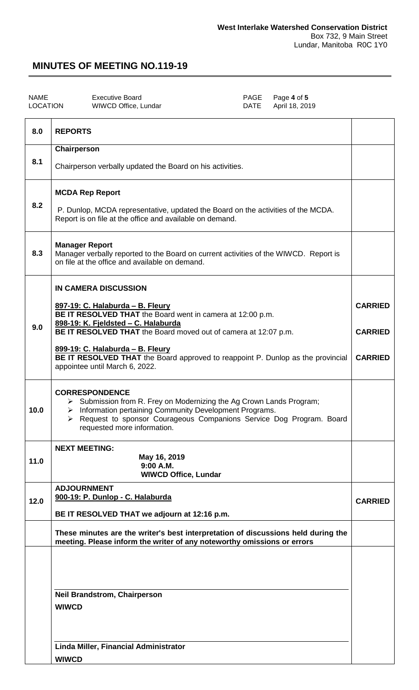| <b>NAME</b>     | <b>Executive Boa</b> |
|-----------------|----------------------|
| <b>LOCATION</b> | <b>WIWCD Office</b>  |

NAME Executive Board PAGE Page **4** of **5** April 18, 2019

| 8.0  | <b>REPORTS</b>                                                                                                                                                                                                                                                                                                                                                                                   |                                                    |
|------|--------------------------------------------------------------------------------------------------------------------------------------------------------------------------------------------------------------------------------------------------------------------------------------------------------------------------------------------------------------------------------------------------|----------------------------------------------------|
|      | Chairperson                                                                                                                                                                                                                                                                                                                                                                                      |                                                    |
| 8.1  | Chairperson verbally updated the Board on his activities.                                                                                                                                                                                                                                                                                                                                        |                                                    |
| 8.2  | <b>MCDA Rep Report</b><br>P. Dunlop, MCDA representative, updated the Board on the activities of the MCDA.<br>Report is on file at the office and available on demand.                                                                                                                                                                                                                           |                                                    |
| 8.3  | <b>Manager Report</b><br>Manager verbally reported to the Board on current activities of the WIWCD. Report is<br>on file at the office and available on demand.                                                                                                                                                                                                                                  |                                                    |
| 9.0  | <b>IN CAMERA DISCUSSION</b><br>897-19: C. Halaburda - B. Fleury<br>BE IT RESOLVED THAT the Board went in camera at 12:00 p.m.<br>898-19: K. Fjeldsted - C. Halaburda<br>BE IT RESOLVED THAT the Board moved out of camera at 12:07 p.m.<br>899-19: C. Halaburda - B. Fleury<br>BE IT RESOLVED THAT the Board approved to reappoint P. Dunlop as the provincial<br>appointee until March 6, 2022. | <b>CARRIED</b><br><b>CARRIED</b><br><b>CARRIED</b> |
| 10.0 | <b>CORRESPONDENCE</b><br>> Submission from R. Frey on Modernizing the Ag Crown Lands Program;<br>> Information pertaining Community Development Programs.<br>Request to sponsor Courageous Companions Service Dog Program. Board<br>≻<br>requested more information.                                                                                                                             |                                                    |
| 11.0 | <b>NEXT MEETING:</b><br>May 16, 2019<br>9:00 A.M.<br><b>WIWCD Office, Lundar</b>                                                                                                                                                                                                                                                                                                                 |                                                    |
| 12.0 | <b>ADJOURNMENT</b><br>900-19: P. Dunlop - C. Halaburda<br>BE IT RESOLVED THAT we adjourn at 12:16 p.m.                                                                                                                                                                                                                                                                                           | <b>CARRIED</b>                                     |
|      | These minutes are the writer's best interpretation of discussions held during the<br>meeting. Please inform the writer of any noteworthy omissions or errors                                                                                                                                                                                                                                     |                                                    |
|      | <b>Neil Brandstrom, Chairperson</b><br><b>WIWCD</b><br>Linda Miller, Financial Administrator<br><b>WIWCD</b>                                                                                                                                                                                                                                                                                     |                                                    |